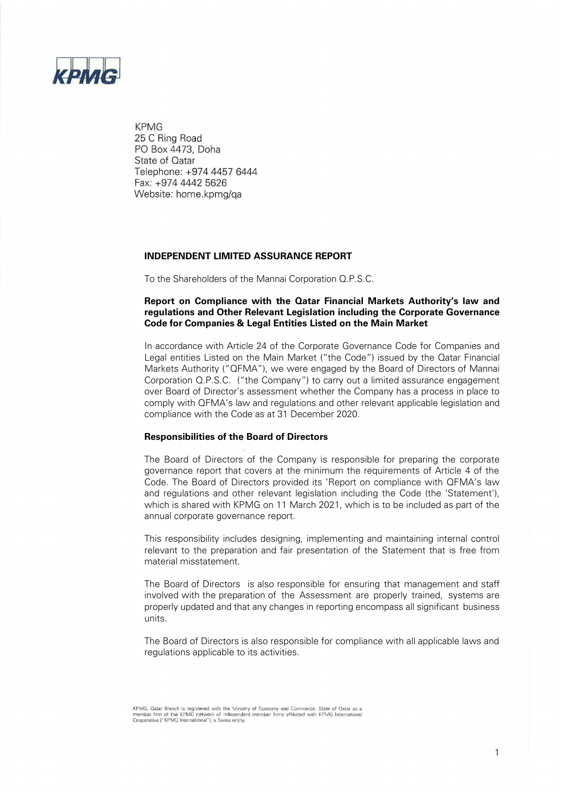

**KPMG** 25 C Ring Road PO Box 4473, Doha State of Qatar Telephone: +974 4457 6444 Fax: +974 4442 5626 Website: home.kpmg/ga

#### **INDEPENDENT LIMITED ASSURANCE REPORT**

To the Shareholders of the Mannai Corporation Q.P.S.C.

#### **Report on Compliance with the Qatar Financial Markets Authority's law and regulations and Other Relevant Legislation including the Corporate Governance Code for Companies & Legal Entities Listed on the Main Market**

In accordance with Article 24 of the Corporate Governance Code for Companies and Legal entities Listed on the Main Market ("the Code") issued by the Qatar Financial Markets Authority ("QFMA"), we were engaged by the Board of Directors of Mannai Corporation Q.P.S.C. ("the Company") to carry out a limited assurance engagement over Board of Director's assessment whether the Company has a process in place to comply with QFMA's law and regulations and other relevant applicable legislation and compliance with the Code as at 31 December 2020.

#### **Responsibilities of the Board of Directors**

The Board of Directors of the Company is responsible for preparing the corporate governance report that covers at the minimum the requirements of Article 4 of the Code. The Board of Directors provided its 'Report on compliance with QFMA's law and regulations and other relevant legislation including the Code (the 'Statement'), which is shared with KPMG on 11 March 2021, which is to be included as part of the annual corporate governance report.

This responsibility includes designing, implementing and maintaining internal control relevant to the preparation and fair presentation of the Statement that is free from material misstatement.

The Board of Directors is also responsible for ensuring that management and staff involved with the preparation of the Assessment are properly trained, systems are properly updated and that any changes in reporting encompass all significant business units.

The Board of Directors is also responsible for compliance with all applicable laws and regulations applicable to its activities.

KPMG, Qatar Branch is registered with the Ministry of Economy and Commerce. State of Qatar as a when film of the KPMG network of independent member firms affliated with KPMG International<br>Cooperative ("KPMG International"), a Swiss entity,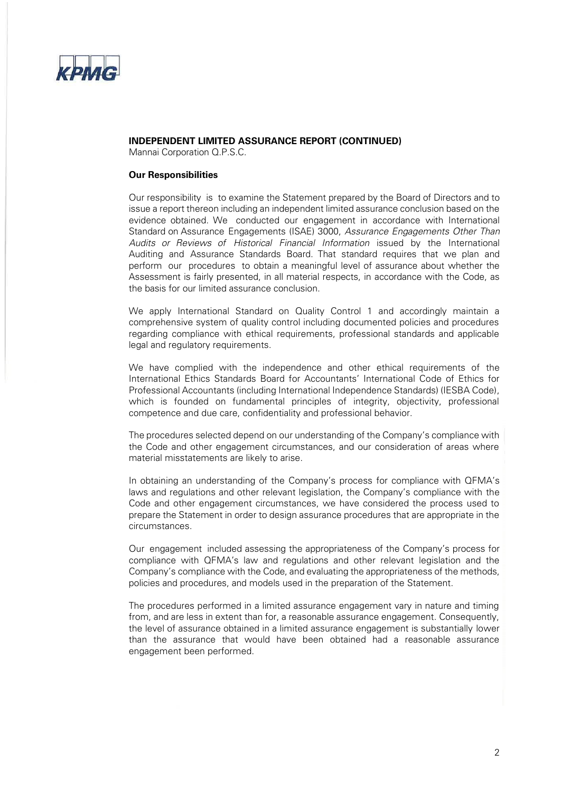

# **INDEPENDENT LIMITED ASSURANCE REPORT (CONTINUED)**

Mannai Corporation Q.P.S.C.

#### **Our Responsibilities**

Our responsibility is to examine the Statement prepared by the Board of Directors and to issue a report thereon including an independent limited assurance conclusion based on the evidence obtained. We conducted our engagement in accordance with International Standard on Assurance Engagements (ISAE) 3000, Assurance Engagements Other Than Audits or Reviews of Historical Financial Information issued by the International Auditing and Assurance Standards Board. That standard requires that we plan and perform our procedures to obtain a meaningful level of assurance about whether the Assessment is fairly presented, in all material respects, in accordance with the Code, as the basis for our limited assurance conclusion.

We apply International Standard on Quality Control 1 and accordingly maintain a comprehensive system of quality control including documented policies and procedures regarding compliance with ethical requirements, professional standards and applicable legal and regulatory requirements.

We have complied with the independence and other ethical requirements of the International Ethics Standards Board for Accountants' International Code of Ethics for Professional Accountants (including International Independence Standards) (IESBA Code), which is founded on fundamental principles of integrity, objectivity, professional competence and due care, confidentiality and professional behavior.

The procedures selected depend on our understanding of the Company's compliance with the Code and other engagement circumstances, and our consideration of areas where material misstatements are likely to arise.

In obtaining an understanding of the Company's process for compliance with QFMA's laws and regulations and other relevant legislation, the Company's compliance with the Code and other engagement circumstances, we have considered the process used to prepare the Statement in order to design assurance procedures that are appropriate in the circumstances.

Our engagement included assessing the appropriateness of the Company's process for compliance with QFMA's law and regulations and other relevant legislation and the Company's compliance with the Code, and evaluating the appropriateness of the methods, policies and procedures, and models used in the preparation of the Statement.

The procedures performed in a limited assurance engagement vary in nature and timing from, and are less in extent than for, a reasonable assurance engagement. Consequently, the level of assurance obtained in a limited assurance engagement is substantially lower than the assurance that would have been obtained had a reasonable assurance engagement been performed.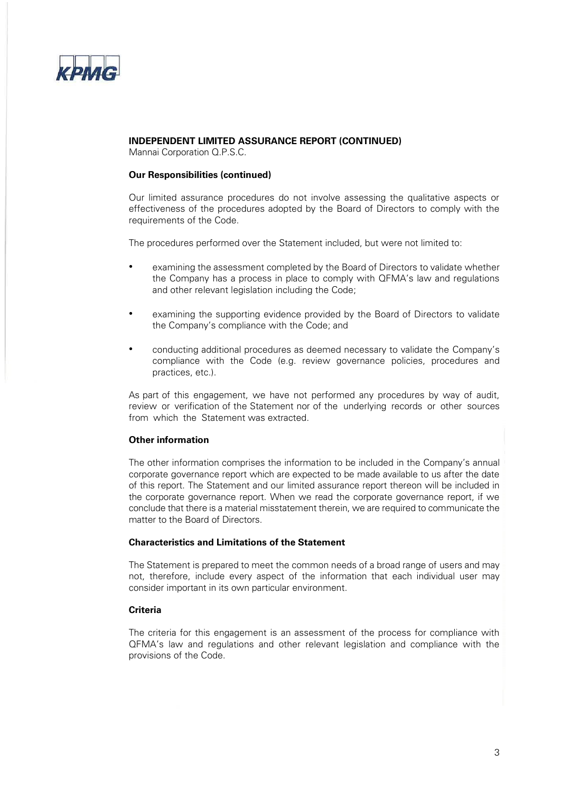

## **INDEPENDENT LIMITED ASSURANCE REPORT (CONTINUED)**

Mannai Corporation Q.P.S.C.

### **Our Responsibilities (continued)**

Our limited assurance procedures do not involve assessing the qualitative aspects or effectiveness of the procedures adopted by the Board of Directors to comply with the requirements of the Code.

The procedures performed over the Statement included, but were not limited to:

- examining the assessment completed by the Board of Directors to validate whether the Company has a process in place to comply with QFMA's law and regulations and other relevant legislation including the Code;
- examining the supporting evidence provided by the Board of Directors to validate the Company's compliance with the Code; and
- conducting additional procedures as deemed necessary to validate the Company's compliance with the Code (e.g. review governance policies, procedures and practices, etc.).

As part of this engagement, we have not performed any procedures by way of audit, review or verification of the Statement nor of the underlying records or other sources from which the Statement was extracted.

#### **Other information**

The other information comprises the information to be included in the Company's annual corporate governance report which are expected to be made available to us after the date of this report. The Statement and our limited assurance report thereon will be included in the corporate governance report. When we read the corporate governance report, if we conclude that there is a material misstatement therein, we are required to communicate the matter to the Board of Directors.

## **Characteristics and Limitations of the Statement**

The Statement is prepared to meet the common needs of a broad range of users and may not, therefore, include every aspect of the information that each individual user may consider important in its own particular environment.

#### **Criteria**

The criteria for this engagement is an assessment of the process for compliance with QFMA's law and regulations and other relevant legislation and compliance with the provisions of the Code.